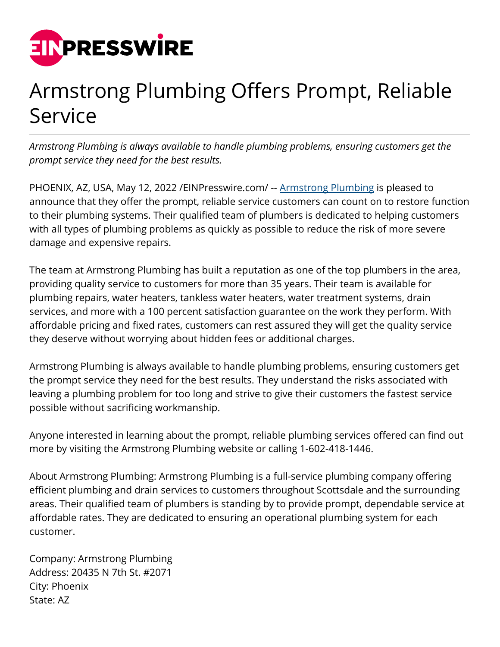

## Armstrong Plumbing Offers Prompt, Reliable Service

*Armstrong Plumbing is always available to handle plumbing problems, ensuring customers get the prompt service they need for the best results.*

PHOENIX, AZ, USA, May 12, 2022 [/EINPresswire.com](http://www.einpresswire.com)/ -- [Armstrong Plumbing](https://www.armstrong-plumbing.com/) is pleased to announce that they offer the prompt, reliable service customers can count on to restore function to their plumbing systems. Their qualified team of plumbers is dedicated to helping customers with all types of plumbing problems as quickly as possible to reduce the risk of more severe damage and expensive repairs.

The team at Armstrong Plumbing has built a reputation as one of the top plumbers in the area, providing quality service to customers for more than 35 years. Their team is available for plumbing repairs, water heaters, tankless water heaters, water treatment systems, drain services, and more with a 100 percent satisfaction guarantee on the work they perform. With affordable pricing and fixed rates, customers can rest assured they will get the quality service they deserve without worrying about hidden fees or additional charges.

Armstrong Plumbing is always available to handle plumbing problems, ensuring customers get the prompt service they need for the best results. They understand the risks associated with leaving a plumbing problem for too long and strive to give their customers the fastest service possible without sacrificing workmanship.

Anyone interested in learning about the prompt, reliable plumbing services offered can find out more by visiting the Armstrong Plumbing website or calling 1-602-418-1446.

About Armstrong Plumbing: Armstrong Plumbing is a full-service plumbing company offering efficient plumbing and drain services to customers throughout Scottsdale and the surrounding areas. Their qualified team of plumbers is standing by to provide prompt, dependable service at affordable rates. They are dedicated to ensuring an operational plumbing system for each customer.

Company: Armstrong Plumbing Address: 20435 N 7th St. #2071 City: Phoenix State: AZ